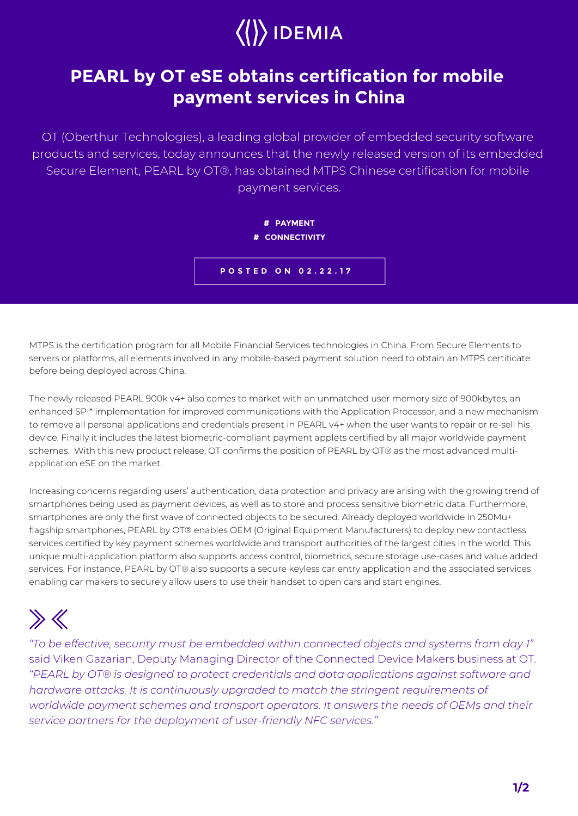## $\langle\langle\rangle\rangle$  IDEMIA

## **PEARL by OT eSE obtains certification for mobile payment services in China**

OT (Oberthur Technologies), a leading global provider of embedded security software products and services, today announces that the newly released version of its embedded Secure Element, PEARL by OT®, has obtained MTPS Chinese certification for mobile payment services.



MTPS is the certification program for all Mobile Financial Services technologies in China. From Secure Elements to servers or platforms, all elements involved in any mobile-based payment solution need to obtain an MTPS certificate before being deployed across China.

The newly released PEARL 900k v4+ also comes to market with an unmatched user memory size of 900kbytes, an enhanced SPI\* implementation for improved communications with the Application Processor, and a new mechanism to remove all personal applications and credentials present in PEARL v4+ when the user wants to repair or re-sell his device. Finally it includes the latest biometric-compliant payment applets certified by all major worldwide payment schemes. With this new product release, OT confirms the position of PEARL by OT® as the most advanced multiapplication eSE on the market.

Increasing concerns regarding users' authentication, data protection and privacy are arising with the growing trend of smartphones being used as payment devices, as well as to store and process sensitive biometric data. Furthermore, smartphones are only the first wave of connected objects to be secured. Already deployed worldwide in 250Mu+ flagship smartphones, PEARL by OT® enables OEM (Original Equipment Manufacturers) to deploy new contactless services certified by key payment schemes worldwide and transport authorities of the largest cities in the world. This unique multi-application platform also supports access control, biometrics, secure storage use-cases and value added services. For instance, PEARL by OT® also supports a secure keyless car entry application and the associated services enabling car makers to securely allow users to use their handset to open cars and start engines.

## $\gg K$

*"To be effective, security must be embedded within connected objects and systems from day 1"*  said Viken Gazarian, Deputy Managing Director of the Connected Device Makers business at OT. *"PEARL by OT® is designed to protect credentials and data applications against software and*  hardware attacks. It is continuously upgraded to match the stringent requirements of *worldwide payment schemes and transport operators. It answers the needs of OEMs and their service partners for the deployment of user-friendly NFC services."*